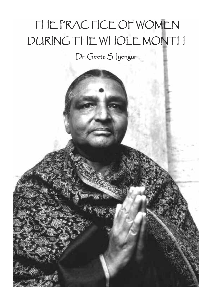# THE PRACTICE OF WOMEN DURING THE WHOLE MONTH

# Dr. Geeta S. lyengar

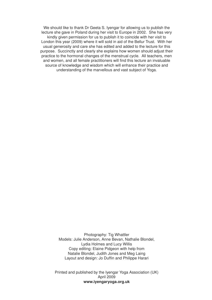We should like to thank Dr Geeta S. Iyengar for allowing us to publish the lecture she gave in Poland during her visit to Europe in 2002. She has very kindly given permission for us to publish it to coincide with her visit to London this year (2009) where it will sold in aid of the Bellur Trust. With her usual generosity and care she has edited and added to the lecture for this purpose. Succinctly and clearly she explains how women should adjust their practice to the hormonal changes of the menstrual cycle. All teachers, men and women, and all female practitioners will find this lecture an invaluable source of knowledge and wisdom which will enhance their practice and understanding of the marvellous and vast subject of Yoga.

> Photography: Tig Whattler Models: Julie Anderson, Anne Bevan, Nathalie Blondel, Lydia Holmes and Lucy Willis Copy editing: Elaine Pidgeon with help from Natalie Blondel, Judith Jones and Meg Laing Layout and design: Jo Duffin and Philippe Harari

Printed and published by the Iyengar Yoga Association (UK) April 2009 **www.iyengaryoga.org.uk**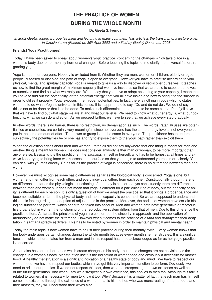## **THE PRACTICE OF WOMEN DURING THE WHOLE MONTH**

#### **Dr. Geeta S. Iyengar**

In 2002 Geetaji toured Europe teaching and lecturing in many countries. This article is the transcript of a lecture given *in Czestochowa (Poland) on 29th April 2002 and edited by Geetaji December 2008*

#### **Friends! Yoga Practitioners!**

Today, I have been asked to speak about women's yogic practice concerning the changes which take place in a woman's body due to her monthly hormonal changes. Before touching the topic, let me clarify the universal factors regarding yoga.

Yoga is meant for everyone. Nobody is excluded from it. Whether they are men, women or children, elderly or aged people, diseased or disabled, the path of yoga is open to everyone. However you have to practise according to your physical, mental and spiritual capacity. Yoga is meant to give us a way to discover or rediscover ourselves. It teaches us how to find the great margin of maximum capacity that we have inside us so that we are able to expose ourselves to ourselves and find out what we really are. When I say that you have to adapt according to your capacity, I mean that you have to find out the potentiality, or the potential energy, that you all have inside and how to bring it to the surface in order to utilise it properly. Yoga exposes inner hidden potentialities. In fact, there is nothing in yoga which dictates who has to do what. Yoga is universal in this sense. It is inappropriate to say, "Do and do not do". We do not say that this is not to be done or that is to be done. To make such differentiation there has to be some cause. Patañjali says that we have to find out what stage we are at and what our level is. We need to know what our energy is, what our potency is, what we can do and so on. As we proceed further, we have to see that we achieve every step gradually.

In other words, there is no barrier, there is no restriction, no demarcation as such. The words Patañjali uses like potentialities or capacities, are certainly very meaningful, since not everyone has the same energy levels, not everyone can put in the same amount of effort. The power to grasp is not the same in everyone. The practitioner has to understand subjectively the potentialities he or she has and try to expose them to the yogic path rather than exploit them.

When the question arises about men and women, Patañjali did not say anywhere that one thing is meant for men and another thing is meant for women. He does not consider anybody, either man or woman, to be more important than anyone else. Basically, it is the practitioner, the *sādhaka*, himself or herself, who has to be honest at all times and always keep trying to bring inner weaknesses to the surface so that you begin to understand yourself more clearly. You can deal with yourself directly. So as far as the practice of yoga is concerned, there is no difference between men and women.

However, we must recognise some basic differences as far as the biological body is concerned. Yoga is one, but women and men differ from each other, and every individual differs from each other. Constitutionally though there is no difference as far as the physiological functioning of the body is concerned, yet constituently there are differences between men and women. It does not mean that yoga is different for a particular kind of body, but the capacity or ability is different for each person. It is only a question of how we adapt the practice so that it brings a proper balance and becomes suitable as far as the physical body and mental capacity is concerned. So we are supposed to understand this basic fact regarding the adoption of adjustments in the practice. Moreover, the bodies of women have certain biological functions to perform, which need to be taken into account. Men and women both have generative or reproductive organs but in women the functioning of the reproductive system differs from that of men. Due to this difference the practice differs. As far as the principles of yoga are concerned, the sincerity in approach and the application of methodology do not make the difference. However when it comes to the practice of *āsana* and *prānāyāma* their adaptation in *sādhanā* (practice) differs. This has to be noted by women in order to maintain physical and mental health.

Today the main topic is how women have to adjust their practice during their monthly cycle. Every woman knows that her body undergoes certain changes during the whole month because every month she menstruates. It is a significant function, which differentiates her from a man and in this respect has to be acknowledged as far as her yogic practice is concerned.

A man also has certain hormones which create changes in his body - but these changes are not as visible as the changes in a woman's body. Menstruation itself is the indication of womanhood and obviously a necessity for motherhood. A healthy menstruation is a significant indication of a healthy state of body and mind. We have to respect our womanhood, we have to respect our bodies which have got this very important function to perform. Obviously, we need to adjust our practice. If we do not respect this fact, then we are disrespecting our own existence as well as that of the future generation. And when I say we disrespect our own existence, this applies to men too. Although this talk is related to women, it is necessary for men to know it too. Why? Because it is a matter of fact that each man has himself come into existence through the existence of a woman, that is his mother, who was menstruating. If men understand their mothers, they will understand their wives also.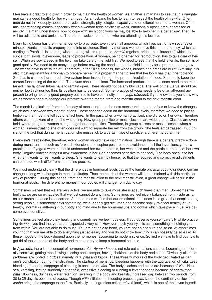Men have a great role to play in order to maintain the health of women. As a father a man has to see that his daughter maintains a good health for her womanhood. As a husband he has to learn to respect the health of his wife. Often men do not think deeply about the physical strength, physiological capacity and emotional health of a woman. Often misunderstanding comes, especially when a woman feels physically weak, emotionally upset, tired, depressed or moody. If a man understands how to cope with such conditions he may be able to help her in a better way. Then life will be adjustable and amicable. Therefore, I welcome the men who are attending this lecture.

Every living being has the inner tendency to procreate. Even the small amoeba, which lives just for few seconds or minutes, wants to see its progeny come into existence. Similarly men and women have this inner tendency, which according to Patañjali is a strong wish, a strong will, to reproduce. *Asmitā* (egoism, pride, I-conciousness) which in a subtle form exists in everyone, leads to procreation. A woman, being oriented for reproduction, has to take care of herself. When we sow a seed in the field, we take care of the field first. We need to see that the field is fertile, the soil is of good quality. We need to do many things before sowing the seed so that the field is ready for a proper crop to grow. The weeds have to be taken off. Therefore, in the tilling process, the weeds, bushes and grass are burnt. Similarly, it is also most important for a woman to prepare herself in a proper manner to see that her body has that inner potency. She has to cleanse her reproductive system from inside through the proper circulation of blood. She has to keep the correct functioning of the ovaries. The ovum should be clean. The hormonal production and balance need to be maintained. The fallopian tubes have to remain open. There should not be any blockage. The wall of the uterus should be neither too thick nor too thin. Its position has to be correct. So her practice of yoga needs to be of an all-round approach to bring not only good progeny but also to have continuity in the *yoga*-s*ādhanā.* If you know this, you know why we as women need to change our practice over the month, from one menstruation to the next menstruation.

The month is calculated from the first day of menstruation to the next menstruation and one has to know the changes which occur between two menstruations. These changes occur on the hormonal levels, therefore we need to pay attention to them. Let me tell you one fact here. In the past, when a woman practised, she did so on her own. Therefore others were unaware of what she was doing. Now group practice or mass classes are widespread. Classes are even held where pregnant women can get together and practice. Therefore, in group classes or mass-classes, when a woman is menstruating she often does not want to separate herself from the group. She feels embarrassed . But I insist on the fact that during menstruation she must stick to a certain type of practice, a different programme.

Everyone's needs differ, therefore, every woman should have discrimination. Though there is a general practice done during menstruation, such as forward extensions and supine postures and avoidance of all the inversions, yet as a practitioner of yoga a woman should understand her own problems, her weakness and the particular needs of her own body. Regular practice brings a new awareness in her. She becomes sensitive to her body. The body speaks to her whether it wants to rest, wants to sleep, She wants to learn by herself so that the required and corrective adjustments can be made which differ from the routine practice.

We must understand clearly that the differences in hormonal levels cause the female physical body to undergo certain changes along with changes in mental attitudes. Thus the health of the women will be maintained with this particular way of practice. During this period, from one menstruation to the next menstruation, a great change will occur in the hormonal levels. The different hormones in our bodies will change from day to day.

Sometimes we feel that we are very active; we are able to take more stress at such times than men. Sometimes we feel that we are so exhausted that we just cannot do anything. Sometimes we feel nicely balanced from inside as far as our mental balance is concerned. At other times we find that our emotional imbalance is so great that despite being strong people, if somebody says something, we suddenly get disturbed and become shaky. We feel healthy or unhealthy, normal or suffering in our body and mind due to the hormonal ups and downs which take place in us. We become over-sensitive.

Sometimes we feel absolutely healthy and sometimes we feel hopeless. If you observe yourself carefully while practising *āsana*-s you find that you are unexpectedly very stiff. However much you try, it is as if something is holding you from within. You are not able to do much. You are not able to bend, you are not able to turn and so on. At other times you find that you are able to do everything just so easily and you do not know how things can possibly be so easy. All these moods of the body depend upon the hormones, according to modern science. So first we have to find out how to get rid of these moods of the body and mind and try to keep a hormonal balance.

In *Āyurveda*, there is no concept of hormones. Yet, *Āyurveda* does not rule out situations such as becoming emotionally sensitive, getting mood swings, losing one's temper, having shakiness of the body and so on. Obviously all these problems are rooted in *tridosa*; namely *vāta*, *pitta* and *kapha*. These three humours of the body get vitiated as per one's constitution during menstruation. The starting of menstrual bleeding happens with the aggravation of *vāta.* Less bleeding or sudden stoppage of bleeding is because of *vāta*. The body's aches and pains are because of *vāta.* Nausea, vomiting, feeling suddenly hot or cold, excessive bleeding or running a fever happens because of aggravated *pitta*. Slowness, dullness, water retention, swelling in the body and breasts, increased gap between two periods from 30 to 35 days is because of *kapha*. Though *vāta* initiates the bleeding process, *pitta* keeps the continuity of flow and *kapha* brings the stoppage to the flow. Basically, the ingredient called *rakta* (blood), which is one of the seven ingredi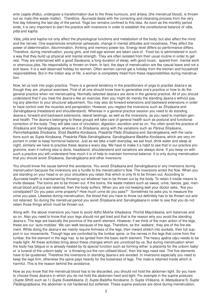ents (*sapta dhātu*), undergoes a transformation due to the three humours, and *ārtava*, (the menstrual blood), is thrown out as *mala* (the waste matter). Therefore, *Āyurveda* deals with the correcting and cleansing process from the very first day following the last day of the period. Yoga too remains confined to this idea. As soon as the monthly period ends, it is very important to start the practice with inversions in order to establish the constitutional balance of *vāta, pitta* and *kapha*.

*Vāta, pitta* and *kapha* not only affect the physiological functions and metabolism of the body, but also affect the mind and the nerves. One experiences emotional upheavals, change in mental attitudes and moodiness. They affect the power of determination, discrimination, thinking and memory power too. Energy level differs so performance differs. Therefore, during menstruation, young girls, and mid-age women are taken care of. Food too is administered in such a way that they build up physical and mental strength. They are often isolated from their usual routine in order to get rest. They are entertained with a good *Śavāsana*, a long duration of sleep, with good music, spared from mental work or strenuous jobs. No responsibility is thrown on them. In fact, the days of menstruation are like casual leave and not a sick leave. It is a well deserved holiday for women. Often women cannot get a holiday from the kitchen and household responsibilities. But in the Indian way of life, a woman is completely freed from these responsibilities during menstruation.

Now, let us look into yogic practice. There is a general tendency in the practitioners of yoga to practise *āsana*-s as though they are physical exercises. First of all one should know how to generalise one's practice or how to do the general practice when not menstruating. Normally selected *āsana*-s are done in the general practice. All of you should understand that if you treat the *āsana*-s like an exercise, then you might do merely the standing *āsana*-s without paying any attention to your structural adjustment. You may also do forward extensions and backward extensions in order to have control over the muscles and perspiration. However, you neglect the inversions such as *Śīrṣāsana* and *Sarvāngāsana* (headstand and shoulderstand). Whereas in a general practice session you need to do standing *āsana*-s, forward and backward extensions, lateral twistings, as well as the inversions, as you need to maintain general health. The *āsana*-s belonging to these groups will take care of general health such as postural and functional correction of the body. They will take care of circulation, digestion, excretion and so on. You often avoid the practice of *Śīr@āsana* and *Sarvāngāsana*, whereas it is *Śīr@āsana*, along with the variations such as *Pārśva Śīr@āsana*, *Pariv;ttaikapāda Śīr@āsana*, *Śīr@ā Baddha Ko0āsana*, *Prasārita Pāda Śīr@āsana* and *Sarvāngāsana*, with the variations such as *Supta Ko0āsana*, *Prasàrita Pāda Sarvāngāsana*, *Sarvāngāsana Baddha Ko0āsana*, which are very important in order to keep hormonal balance. Just as we take a bath everyday, we eat food, drink water and sleep at night, similarly we have to practise these *āsana*-s every day. We have to make it a habit to see that in our practice programme, even if nothing else is done, headstand, shoulderstand and variations are always done. If you keep on with such a practice you will understand how much it is of help to maintain hormonal balance. It is only during menstruation that you should avoid *Śīrsāsana, Sarvāngāsana* and other inversions.

You should know the cause behind this avoidance. You avoid *Śīrsāsana* and *Sarvāngāsana* or any inversions during menstruation because the inversions are a hurdle to the menstruation's flow. The inversions arrest the flow. When you are standing on your head or on your shoulders you retain that which is only fit to be thrown out. According to *Āyurveda* health is maintained by throwing out whatever has to be thrown out by the body. To retain it inside means to invite disease. The toxins are to be thrown out. If the toxins, the waste matters such as sweat, urine, faeces, gas, menstrual blood and pus are retained, then the body suffers. When you are not keeping well your doctor asks, "Are you constipated? Do you pass urine properly? How much urine do you pass?" Sometimes he asks you to measure the urine you pass. Likewise during menstruation, the blood that you have to throw out definitely has to be thrown out and not retained. So during the menstrual period you avoid *Śīrsāsana* and *Sarvāngāsana* in order to see that you do not retain those things which must be thrown out.

Along with the above inversions you have to avoid *Adho Mukha V;k@āsana, Pinchā Mayūrāsana*, arm balances and so on. Also you need to know that your legs should not get tired and that is the reason why you avoid the standing *āsana*-s. The legs are basically the province of the earth element. However, if we think of the main action of the legs, these are our 'auto-mobiles'. We can walk because of the legs. Therefore, as the `walkers', they are of the fire element. While doing the *āsana*-s we mainly require firmness of the legs, their inward stretch into sockets, their full support in our movements. Though legs are controlled by the lumbar spine, or the nerves in the legs that come from the lumbar, the fire element in the legs has to be ignited from the basic earth element. The heavy *apāna vāyu* needs to be made light. All these activities bring about these changes which are unnoticed by us. But during menstruation when the body has fatigue or is already heated by its special function such as forming either 'a placenta for the unborn baby' or 'a funeral of the unborn baby' or 'a throwing out the non-utilised blood', then the legs need rest. The five elements have to be quietened. Therefore the inversions or standing *āsana*-s are avoided. In inversions especially you need to keep the legs firm, otherwise the spine pays heavily for the looseness of legs. The *mala* is retained inside which is harmful. This is the reason behind the avoidance.

Now as you know that the menstrual blood has to be discarded, you should not hold the abdomen tight. So you have to choose those *āsana*-s in which you do not hold the abdomen hard and tight. For example in the supine postures (*Supta Sthiti*) such as 1) *Supta Svastikāsana*, 2) *Supta Baddha Ko0āsana*, 3) *Supta Vīrāsana*, 4) *Matsyāsana* 5) *Supta* Pādāngustāsana, the abdomen is not hardened but softened. These supine postures are done during menstruation,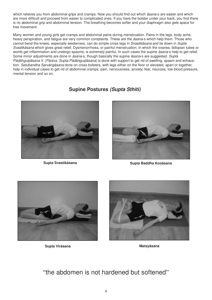which relieves you from abdominal grips and cramps. Now you should find out which *āsana*-s are easier and which are more difficult and proceed from easier to complicated ones. If you have the bolster under your back, you find there is no abdominal grip and abdominal tension. The breathing becomes softer and your diaphragm also gets space for free movement.

Many women and young girls get cramps and abdominal pains during menstruation. Pains in the legs, body ache, heavy perspiration, and fatigue are very common complaints. These are the *āsana*-s which help them. Those who cannot bend the knees, especially westerners, can do simple cross legs in *Svastikāsana* and lie down in *Supta Svastikāsana* which gives great relief. Dysmenorrhoea, or painful menstruation, in which the ovaries, fallopian tubes or womb get inflammation and undergo spasms, is extremely painful. In such cases the supine *āsana*-s help to get relief. Some minor adjustments are done in *āsana*-s, though basically the supine *āsana*-s are suggested. *Supta Pādāngustāsana II* (*Pārśva Supta Pādāngustāsana*) is done with support to get rid of swelling, spasm and exhaustion. *Setubandha Sarvāngāsana* done on cross bolsters, with legs either on the floor or elevated, apart or together, help in individual cases to get rid of abdominal cramps, pain, nervousness, anxiety, fear, neurosis, low blood pressure, mental tension and so on.

### **Supine Postures** *(Supta Sthiti)*





**Supta Svastikāsana Supta Baddha Ko/āsana**



**Supta Vīrāsana Matsyāsana**



"the abdomen is not hardened but softened"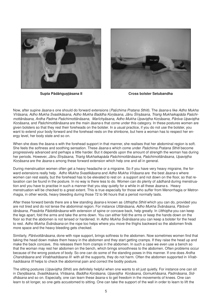



**Supta Pādā.gu9;āsana II Cross bolster Setubandha**

Now, after supine *āsana*-s one should do forward extensions (*Paśchima Pratana Sthiti*). The *āsana*-s like *Adho Mukha*  $V$ īrāsana, Adho Mukha Svastikāsana, Adho Mukha Baddha Konāsana, Jānu Śīrsāsana, Triang Mukhaikapāda Paśchi*mottānāsana, Ardha Padma Paśchimottānāsana, Marīchyāsana, Adho Mukha Upavi@Bha Ko0āsana, Pārśva Upavi@Bha Konāsana,* and *Paśchimottānāsana* are the main *āsana*-s that come under this category. In these postures women are given bolsters so that they rest their foreheads on the bolster. In a usual practice, if you do not use the bolster, you want to extend your body forward and the forehead rests on the shinbone, but here a woman has to respect her energy level, her body state and so on.

When she does the āsana-s with the forehead support in that manner, she realises that her abdominal region is soft. She feels the softness and soothing sensation. These *āsana*-s which come under *Paśchima Pratana Sthiti* become progressively advanced and perhaps a little harder. But it depends upon the amount of strength the woman has during her periods. However, Jānu Śīrṣāsana, Triang Mukhaikapàda Paśchimottānāsana, Paśchimottānāsana, Upaviṣṭha Konāsana are the *āsana*-s among these forward extension which help one and all in general.

During menstruation women often get a heavy headache or a migraine. So if you have very heavy migraine, the forward extensions really help. *Adho Mukha Svastikāsana* and *Adho Mukha Vīrāsana* are the best *āsana*-s where women can rest easily, but the forehead has to be elevated to rest on a support and not down on the floor, so that relaxation can be found in the posture. In no way is there less to do. Women can do plenty of *sādhanā* during menstruation and you have to practise in such a manner that you stay quietly for a while in all these *āsana*-s. Heavy menstruation will be checked to a great extent. This is true especially for those who suffer from Menorrhagia or Metrorrhagia, in other words, heavy bleeding during those 72 to 96 hours that a period normally lasts.

After these forward bends there are a few standing *āsana*-s known as *Utthiṣṭha Sthiti* which you can do, provided you are not tired and do not tense the abdominal region. For instance *Uttānāsana*, *Adho Mukha Śvānāsana, Pārśvottānāsana, Prasārita Pādottānāsana* with extension of spine or concave back, help greatly. In *Utthistha* you can keep the legs apart, fold the arms and take the arms down. You can either fold the arms or keep the hands down on the floor so that the abdomen is not tensed or hardened. In *Adho Mukha Śvānāsana* you can keep a bolster for the head to rest. *Adho Mukha Śvānāsana* on the rope too helps where you move the thighs backward so the abdomen finds more space and the heavy bleeding gets checked.

Similarly, *Pārśvottānāsana*, done with rope support, brings softness to the abdomen. Now sometimes women find that taking the head down makes them heavy in the abdomen and they start getting cramps. If they raise the head up and make the back concave, this releases them from cramps in the abdomen. In such a case we even use a bench so that the woman may rest her abdomen on the bench, which brings smoothness to the abdomen. Often problems occur because of the wrong posture of body. So one can do some of the standing poses in this manner. If one does *Ardha Chandrāsana* and *Vīrabhadrāsana III* with all the supports, they do not harm. Often the abdomen supported in *Vīrabhadrāsana III* helps to check the abdominal pain and correct the bodily posture.

The sitting postures (*Upavistha Sthiti*) are definitely helpful when one wants to sit just quietly. For instance one can sit in Dandāsana, Svastikāsana, Vīrāsana, Baddha Konāsana, Upavistha Konāsana, Gomukhāsana, Padmāsana, Sid*dhāsana* and so on. Especially, one can learn these āsana-s to get freedom in the movements of knees. One can learn to sit longer, so one gets accustomed to sitting. One can take the support of the wall in order to learn to lift the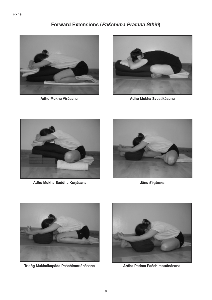spine.

## **Forward Extensions (***Paśchima Pratana Sthiti***)**





**Adho Mukha Vīrāsana Adho Mukha Svastikāsana**



**Adho Mukha Baddha Ko/āsana Jānu Śīr9āsana**





**Tria.g Mukhaikapāda Paśchimottānāsana Ardha Padma Paśchimottānāsana**

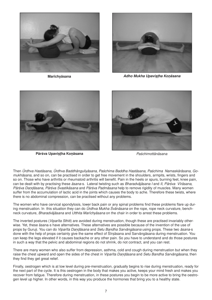



**Marīchyāsana** *Adho Mukha Upavișțha Koņāsana* 



**Pārśva Upavi9;ha Ko/āsana** *Paśchimottānāsana*



Then *Ūrdhva Hastāsana*, *Ūrdhva Baddhānguliyāsana*, *Paśchima Baddha Hastāsana*, *Paśchima Namaskārāsana*, *Gomukhāsana*, and so on, can be practised in order to get free movement in the shoulders, armpits, wrists, fingers and so on. Those who have arthritis or rheumatoid arthritis will benefit. Pain in the heels or spurs, burning feet, knee pain, can be dealt with by practising these *āsana*-s*.* Lateral twisting such as *Bharadvājāsana I* and *II*, *Pārśva Vīrāsana*, *Pārśva Da0āsana*, *Pārśva Svastikāsana* and *Pārśva Padmāsana* help to remove rigidity of muscles. Many women suffer from the accumulation of lactic acid in the joints which causes the body to ache. Therefore these twists, where there is no abdominal compression, can be practised without any problems.

The women who have cervical spondylosis, lower back pain or any spinal problems find these problems flare up during menstruation. In this situation they can do *Ūrdhva Mukha Śvānāsana* on the rope, rope neck curvature, benchneck curvature, *Bharadvājāsana* and *Utthita Marīchyāsana* on the chair in order to arrest these problems.

The inverted postures (*Viparīta Sthiti*) are avoided during menstruation, though these are practised invariably otherwise. Yet, these āsana-s have alternatives. These alternatives are possible because of the invention of the use of props by Guruji. You can do *Viparīta Dandāsana* and *Setu Bandha Sarvāngāsana* using props. These two *āsana*-s done with the help of props certainly give the same effect of Sirsasana and Sarvāngāsana during menstruation. You can keep the legs elevated if it causes backache or any other pain. So you have to understand and do those postures in such a way that the pelvic and abdominal regions do not shrink, do not contract, and you can rest.

There are many women who also suffer from depression, asthma, cold and cough during menstruation but when they raise the chest upward and open the sides of the chest in *Viparīta Dandāsana* and *Setu Bandha Sarvāngāsana*, then they find they get great relief.

Finally, oestrogen which is at low level during pre-menstruation, gradually begins to rise during menstruation, ready for the next part of the cycle. It is this oestrogen in the body that makes you active, keeps your mind fresh and makes you recover from fatigue. Therefore during menstruation, in these postures you begin to be more active to bring the oestrogen level up higher. In other words, in this way you produce the hormones that bring you to a healthy state.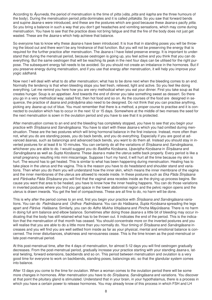According to *Āyurveda*, the period of menstruation is the time of *pitta* (*vāta, pitta* and *kapha* are the three humours of the body). During the menstruation period *pitta* dominates and it is called *pittakāla*. So you saw that forward bends and supine *āsana*-s were introduced, and these are the postures which are good because these *āsana*-s pacify *pitta*. So you bring a balance in such a way that you don't get headaches and vomiting sensations, which may come during menstruation. You have to see that the practice does not bring fatigue and that the fire of the body does not just get wasted. These are the *āsana*-s which help achieve that balance.

So everyone has to know why these *āsana*-s have been introduced. It is true that in standing poses you will be throwing the blood out and there won't be any hindrance of that function. But you will not be preserving the energy that is required for the further practice after menstruation. The *āsana*-s I have listed preserve energy. It is important to understand that during the menstrual period, because oestrogen is going up, you feel active and you think that you can do everything. But the same oestrogen that will be reaching its peak in the next four days can be utilised for the right purpose. The subsequent energy fall needs to be avoided. So you should not create an imbalance in the hormones. But if you preserve energy during menstruation, and if you use that energy after menstruation, it will help you improve your yogic *sādhanā*.

Now next I will deal with what to do after menstruation; what has to be done next when the bleeding comes to an end. Normally the tendency is that when bleeding stops you feel fresh, relieved, light and active. So you feel like doing everything. Let me remind you here how you are very methodical when you eat your dinner. First you take soup as that creates hunger. Soup is an appetiser. And towards the end of dinner you take something sweet as dessert. So there you go in a very methodical way; salad first, then hot food and so on. As the courses of the food are designed in sequence, the practice of *āsana* and *prānāyāma* also need to be designed. Do not think that you can practise anything, picking any *āsana* up out of blue. You must remember that there is a method, a proper course to practise and it is connected to ovulation which has to occur in the next 12 or 15 days. Somewhere at the middle of two menses the seed for the next menstruation is sown in the ovulation period and you have to see that it is protected.

After menstruation comes to an end and the bleeding has completely stopped, you have to see that you begin your practice with *Śīrsāsana* and *Sarvāngāsana*. You have to start with these *āsana*-s which you had omitted during menstruation. These are the two postures which will bring hormonal balance in the first instance. Instead, more often than not, what you do are standing poses, you do back bends, and you do everything. Especially if you are good at advanced āsanas, such as balancings and advanced back bends, you want to do them all. Instead you should stay in inverted postures for at least 8 to 10 minutes. You can certainly do all the variations of *Śīrsāsana* and *Sarvāngāsana*, whichever you are able to do. I would suggest you do *Baddha Konāsana, Upavistha Konāsana* in *Šīrsāsana* and *Sarvāngāsana* as well as *Supta Konāsana*. These *āsana*-s make the uterus settle back properly. Every period is like a small pregnancy resulting into mini miscarriage. Suppose I hurt my hand, it will hurt all the time because my skin is hurt. The wound has to get healed. This is similar to what has been happening during menstruation. Healing has to take place in the uterus and the vagina. This is the reason you have to do headstand and shoulder stand and variations. Then when you do them you will understand how the inner skin, which means the inner membrane of the vagina and the inner membranes of the uterus are allowed to recede inside. In these postures such as *Eka Pāda Śīrsāsana* and *Pārśvaika Pāda Śīrsāsana* you will find that the vaginal area recedes inside as the drying up process begins. Because you want that area to be healed, you have to know how the inner healing happens. You can do those variations in inverted postures where you find you get space in the lower abdominal region and the pelvic region opens and the uterus is drawn inwards. You get the feel of compactness. These are all fine to do, no harm will be done.

This is why after the period comes to an end, first you begin your practice with *Śīrsāsana and Sarvāngāsana* variations. You can do *Padmāsana* and *Ūrdhva Padmāsana*. You can do Halāsana, Supta Konāsana spreading the legs apart and *Pārśva Halāsana*. Similarly, you can do *Adho Mukha V;k@āsana* and *Pincha Mayūrāsana*. There is no harm in doing full arm balance and elbow balance. Sometimes after doing those *āsana*-s a little bit of bleeding may occur indicating that the body has still retained what has to be thrown out. It indicates the end of the period. This is the indication that the menstruation of that month has ceased. You should concentrate more on the inverted postures and you will realise that you are able to do a little more than you normally do. Your timing of *Śīrsāsana* and *Sarvāngāsana* increases and you will find you are well settled from inside as far as your physical, mental and emotional balance is concerned. The inner disturbances, shakiness and nervousness cease. This is the time known as the post-menstrual or late post-menstrual period.

At this post-menstrual time, after the 4 days of menstruation, for almost 5-12 days you will find oestrogen gradually decreases. From the post-menstrual period, gradually increase your practice starting with your standing *āsana*-s, lateral twisting, forward extensions, backbends and so on. This period between menstruation and ovulation is a very good time for everyone to work on backbends, standing poses, balancings etc. so that the glandular system comes into balance.

After 13 days you come to the time for ovulation. When a woman comes to the ovulation period there will be some more changes in hormones. After menstruation you have to do *Śīrsāsana, Sarvāngāsana* and variations. You discover at that point the pituitary gland is stimulated. Understand that in your brain, in your hypothalamus, there is a process in which you have a certain power to release hormones. You may already know of this process in which FSH and LH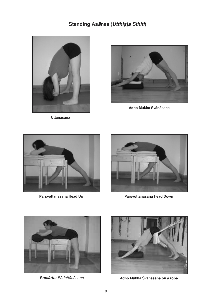## **Standing Asanas** (*Utthișța Sthiti*)



**Uttānāsana**



**Adho Mukha Śvānāsana**





**Pārśvottānāsana Head Up Pārśvottānāsana Head Down**





*Prasārita Pādottānāsana* **Adho Mukha Śvānāsana on a rope**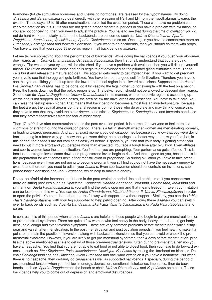hormones (follicle stimulation hormones and luteinising hormones) are released by the hypothalamus. By doing *Śīrsāsana* and *Sarvāngāsana* you deal directly with the releasing of FSH and LH from the hypothalamus towards the ovaries. These days, 13 to 16 after menstruation, are called the ovulation period. Those who have no problem can keep the practice as it is. But if you are not getting proper menstrual periods or you have a problem with ovulation, or you are not conceiving, then you need to adjust the practice. You have to see that during the time of ovulation you do not do hard work particularly as far as the backbends are concerned such as *Ūrdhva Dhanurāsana, Viparīta Da0āsana*, *Kapotāsana*, *V;śchikāsana*, *Viparīta Chakrāsana* and so on. Once again you have to concentrate more on  $S$ *īrṣāsana, Sarvāngāsana* and forward extensions. If you want to do backbends, then you should do them with props. You have to see that you support the pelvic region in all back bending *āsana*-s.

Let me tell you something about the performance of backbends. While doing the backbends if you push your abdomen downwards as in *Ūrdhva Dhanurāsana*, *Ustrāsana*, *Kapotāsana*, then first of all, understand that you are doing wrongly. The whole of your system will be disturbed. If you have a problem with ovulation then you will disturb yourself further. Ovulation means the unripe egg-cells begin to get developed as the pituitary gland stimulates them. These cells burst and release the mature egg-cell. This egg-cell gets ready to get impregnated. If you want to get pregnant, you have to see that the egg-cell gets fertilized. You have to create a good soil for fertilization. Therefore you have to see that you are lifting yourself up from the lower abdominal region in backward extensions. Suppose that an *āsana* like *Ūrdhva Dhanurāsana* has to be done, do it by keeping the legs higher up, for example with the feet on a bench. Keep the hands down, so that the pelvic region is up. The pelvic region should not be allowed to descend downwards. So one can do *Viparīta Dandāsana*, *Urdhva Dhanurāsana* in this manner, where the pelvic region is ascending upwards and is not dropped. In some cases, the area below the navel drops and descends. You have to take care. You can raise the feet up even higher. That means that back bending becomes almost like an inverted posture. Because the feet are up, the vaginal area is up, the anal region is up. For those who do ovulate and may think of conceiving, they have to see that they avoid the other *āsana*-s and stick to *Śīrsāsana* and *Sarvāngāsana* and forwards bends, so that they protect themselves from the fear of miscarriage.

Then 17 to 20 days after menstruation comes the post-ovulation period. It is normal for everyone to feel there is a slight loss of strength during the ovulation period. There is a fall in strength whether women are menstruating normally, or leading towards pregnancy. And at that exact moment you get disappointed because you know that you were doing back bending in a better way, you know that you were doing the balancings in a better way and now you find that, in this period, the *āsana*-s are not coming as easily as before. Especially, you find that your body is getting stiffer, you need to put in more effort and you perspire more than expected. You face a tough time after ovulation. Even athletes and sports women face the same situation. You find that you are perspiring. Your performance gets affected. This is because oestrogen levels come down and progesterone levels begin to rise. And that is good for you, because this is the preparation for what comes next, either menstruation or pregnancy. So during ovulation you have to take precautions, because even if you are not going to become pregnant, you still find you do not have the necessary energy to ovulate and therefore you need to adjust your *āsana*-s. Even sportswomen should concentrate on inversions, supported back extensions and *Jānu Śīrṣāsana*, which help to maintain energy.

Do not be afraid of the increase in stiffness in the post-ovulation period. Instead at this time, if you concentrate more on sitting postures such as *Upavi@Bha Ko0āsana*, *Baddha Ko0āsana*, *Vīrāsana, Padmāsana*, *Mālāsana* and similarly on *Supta Pādāngustāsana II*, you will find the pelvis opening and that means freedom. Even your irritation can be lessened in this way. You can do *Ardha Chandrāsana, Vīrabhadrāsana II*, *Utthita Pārśvako0āsana* in order to open the pelvis. You can do it either in a restful way with support or without support. Similarly, you can do *Utthita* Hasta Pādāngustāsana with your leg supported to help pelvic opening. After doing these *āsana*-s you can switch over to back bends such as *Viparīta Da0āsana*, *Eka Pāda Viparīta Da0āsana*, *Eka Pāda Rāja Kapotāsana* and so on.

In contrast, it is at this period when supine *āsana*-s are helpful to those people who begin to get pre-menstrual tension or pre-menstrual syndrome. There are quite a few women who feel heavy in the body, heavy in the breast, get bodyache, cold, cough and even feverish symptoms. These are very common problems before menstruation which disappear and vanish after menstruation. In the post menstruation and post ovulation periods, if you feel healthy, make it a point to maintain the practice of inversions along with backward extensions so that you can avoid or check the premenstrual syndrome. However, if you are likely to get pre-menstrual syndrome, then 4 days before menstruation, practise the above mentioned *āsana*-s to get rid of those pre-menstrual tensions. Often during pre-menstrual tension you have a headache. You find that you are not able to eat food or not able to digest food, then you have to do forward extension such as *Jānu Śīrsāsana, Paśchimottānāsana, Upavistha Konāsana* by resting the forehead on blankets. Do chair *Sarvāngāsana* and half *Halāsana*. Avoid *Śīrsāsana* and backward extension if you have a headache. But when there is no headache, then certainly do *Śīrsāsana* as well as supported backbends. Especially, during the period of pre-menstrual tension when you feel low in energy, depression, emotional disturbance, imbalance, then do back bends, such as *Viparīta Da0āsana* on the bench or chair, *Ūrdhva Dhanurāsana* and *Kapotāsana* on a chair. These back bends help you to come out of depression and emotional disturbances.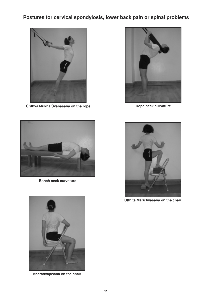## **Postures for cervical spondylosis, lower back pain or spinal problems**



**Ūrdhva Mukha Śvānāsana on the rope Rope neck curvature**





**Bench neck curvature**



**Utthita Marīchyāsana on the chair**



**Bharadvājāsana on the chair**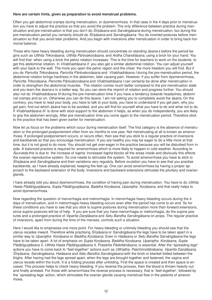#### **Here are certain hints, given as preparation to avoid menstrual problems.**

Often you get abdominal cramps during menstruation, or dysmenorrhoea. In that case in the 4 days prior to menstruation you have to adjust the practice so that you avoid the problem. The only difference between practice during menstruation and pre-menstruation is that you don't do *Śīrsāsana* and *Sarvāngāsana* during menstruation, but during the pre-menstruation period you certainly should do *Śīrsāsana* and *Sarvāngāsana*. You do inverted postures before menstruation so that you avoid later problems. And you begin with inversions after menstruation in order to bring back hormonal balance.

Those who have heavy bleeding during menstruation should concentrate on standing *āsana*-s before the period begins such as *Utthita Triko0āsana, Utthita Pārśvako0āsana*, and *Ardha Chandrāsana*, using a brick for your hand. You will find that when using a brick the pelvic rotation increases. This is the time for teachers to work on the students to get this abdominal rotation. In *Vīrabhadrāsana II* you also get a similar abdominal rotation. You can adjust yourself with your back to the wall. The more you open the pelvic region and the chest the more freedom you will find. But if you do Parivrtta Trikonāsana, Parivrtta Pārśvakonāsana and Vīrabhadrāsana I during the pre-menstruation period, the abdominal rotation brings hardness in the abdomen, later causing pain. However, if you suffer from dysmenorrhoea, *Parivrtta Trikonāsana, Parivrtta Pārśvakoņāsana* and Vīrabhadrāsana *I* can certainly be done after menstruation in order to strengthen the abdominal muscles. The rotation comes much better compared to the pre menstruation state and you learn the *āsana*-s in a better way. So you can store the imprint of rotation and progress further. You should also not do *Vīrabhadrāsana III* during the pre-menstruation time if you have a tendency towards headaches, abdominal cramps and so on. Otherwise you can do this āsana. I am not asking you to completely avoid the *āsana*. On the contrary, you have to read your body, you have to talk to your body, you have to understand if you get pain, why you get pain, find out which *āsana* has to be avoided, and you will find for yourself what you have to do and what not to do. If *Vīrabhadrāsana III* is done with stool support to the abdomen it helps, as when you do independently, you are likely to grip the abdomen wrongly. After pre-menstruation time you come again to the menstruation period. Therefore stick to the practice that has been given earlier for menstruation.

Now let us focus on the problems which occur during menstruation itself. The first category is the absence of menstruation or the prolonged postponement often from six months to one year. Not menstruating at all is known as amenorrhoea. If prolonged postponement occurs, or recurs often, then see that you stick to a regular practice of inversions and backbends so that you encourage menstruation. If you are healthy you may be eager to do a little more at that time, but it is not good to do more. You should not get over-eager in the practice because you will be disturbed from inside. A balanced practice is required for amenorrhoea which is more likely to happen in cold weather. According to *Āyurveda* this is due to the increase of *kapha*. Increased *kapha* blocks all the areas inside and obviously this effects the ovarian reproductive system. So one needs to stimulate the system. To avoid amenorrhoea you have to stick to *Śīrsāsana* and *Sarvāngāsana* and their variations very regularly. Before ovulation you have to see that you practise backbends, as I have already explained, keeping the feet up. One can avoid amenorrhoea by having a proper approach to the backward extension of the body. Inversions and backward extensions stimulate the pituitary and ovarian glands.

I have already told you about dysmenorrhoea, the condition of having pain during menstruation. You have to do *Utthita Hasta Pādā/gu@Bāsana*, *Supta Pādā/gu@Bāsana*, *Baddha Ko0āsana*, *Upavi@Bha Ko0āsana*, and that really helps to avoid dysmenorrhoea.

Now regarding the question of menorrhagia and metrorrhagia. In menorrhagia heavy bleeding occurs during the 4 days of menstruation, and in metrorrhagia heavy bleeding occurs even after the period has come to an end. So for these conditions you have to see that you stick to supine postures during menstruation more than forward extensions, since supine postures will be of help. If you are sure that you have menorrhagia or metrorrhagia, do the supine postures and a prolonged practice of *Viparīta Dandāsana* and *Setu Bandha Sarvāngāsana* on props. The regular practice of inversions, apart from during the time of the menses, controls such a situation.

Here I would like to emphasise one more point. For heavy bleeding or untimely bleeding you should see that the uterus recedes inward. Therefore while practising *Śīrṣāsana* or *Sarvāngāsana* the legs have to be taken apart in a similar way to *Upavi@Bha Ko0āsana* or *Baddha Ko0āsana*. Even in *Halāsana* or *Setu Bandha Sarvāngāsana* the legs have to be taken apart. A lot of emphasis on *Supta Ko0āsana*, *Baddha Ko0āsana, Upavi@Bha Ko0āsana*, *Supta* Pādāngustāsana *II, Utthita Hasta Pādāngustāsana II, Prasārita Pādottānāsana, is essential. After the "spreading legs"* actions you have to come back to "feet-together" actions such as *Utthistha, Paśchimottānāsana, Viparīta Dandāsana, Śīr@āsana, Sarvāngāsana, Halāsana* and *Setu Bandha Sarvāngāsana* with the brick or blanket folded between the thighs. After having had the legs spread apart, when the legs are brought together and fastened, the vagina and uterus recede within the trunk. It is a folding process after unfolding. First the space is created and then space is encased. This process helps to check heavy bleeding. If you reverse the process, then the blood is thrown heavily out and finally arrested. For those with amenorrhoea the reverse process is necessary, that is `feet-together', followed by the `spreading-legs' action, which stimulates the ovarian glands causing menstrual flow in the patients of amenorrhoea.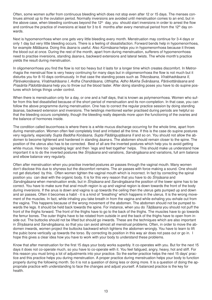Often, some women suffer from continuous bleeding which does not stop even after 12 or 15 days. The menses continues almost up to the ovulation period. Normally inversions are avoided until menstruation comes to an end, but in the above case, when bleeding continues beyond the 12<sup>th</sup> day, you should start inversions in order to arrest the flow and continue the practice of inversions at least for 3 to 6 months after every menstrual period from the  $12<sup>th</sup>$  day onwards.

Next is hypomenorrhoea when one gets very little bleeding every month. Menstruation may continue for 3-4 days or only 1 day but very little bleeding occurs. There is a feeling of dissatisfaction. Forward bends help in hypomenorrhoea, for example *Mālāsana*. Doing this *āsana* is useful. Also *Kūrmāsana* helps you in hypomenorrhoea because it throws the blood out at once. During the rest of the month, apart from during menstruation, sufferers of hypomenorrhoea need to practise inversions, standing *āsana*-s, backward extensions and lateral twists. The whole month's practice yields the result during menstruation.

In oligomenorrhoea you find the flow is not too heavy but it lasts for a longer time which creates discomfort. In Metrorrhagia the menstrual flow is very heavy continuing for many days but in oligomenorrhoea the flow is not much but it disturbs you for 8-10 days continuously. In that case the standing poses such as *Trikonāsana*, *Vīrabhadrāsana II*, *Pārśvako0āsana*, *Vīrabhadrāsana I, Ardha Chandrāsana, Utthi@Bha, Adho Mukha Śvānāsana, Pārśvottānāsana* and *Prasārita Pādottānāsana* help you to throw out the blood faster. After doing standing poses you have to do supine postures which brings things under control.

When there is menstruation only for a day, or one and a half days, that is known as polymenorrhoea. Women who suffer from this feel dissatisfied because of the short period of menstruation and its non-completion. In that case, you can follow the above programme during menstruation. One has to correct the regular practice session by doing standing āsanas, backward extension and inversions. The twistings mentioned earlier practised during periods are helpful so that the bleeding occurs completely, though the bleeding really depends more upon the functioning of the ovaries and the balance of hormones inside.

The condition called leucorrhoea is where there is a white mucus discharge occurring for the whole time, apart from during menstruation. Women often feel completely tired and irritated all the time. If this is the case do supine postures very regularly, especially *Supta Baddha Konāsana*, *Supta Pādāngustāsana II* and so on. You should not allow the abdomen to become tightened and hardened in standing *āsana*-s. The abdomen should remain closer to the spine. The position of the uterus also has to be corrected. Best of all are the inverted postures which help you to avoid getting white mucus. Here too `spreading legs' and then `legs and feet together' helps. This should make us understand how important it is to do the inverted postures like *Śīrsāsana* and variations, *Sarvāngāsana* and variations, full arm balance and elbow balance very regularly.

Often after menstruation when you practise inverted postures air passes through the vaginal mouth. Many women don't disclose this due to shyness but the discomfort remains. The air passes with force making a sound. One should not get disturbed by this. Often women tighten the vaginal mouth which is incorrect. In fact by correcting the spinal position you can deal with the organic body. It is for this very reason that you have to do *Śīrsāsana* and *Sarvāngāsana* when menstruation ends, but in *Śīr@āsana* and *Sarvāngāsana* the position of the lower spine has to be correct. You have to make sure that anal mouth region is up and vaginal region is down towards the front of the body during inversions. If the anus is down and vagina is up towards the ceiling then the uterus gets pumped up and down and air passes. Often it becomes a habit - it is a kind of "breathing" which happens in the uterus. It is the wrong movement of the muscles. In fact, while inhaling you take breath in from the vagina and while exhaling you exhale out from the vagina. This happens because of the wrong movement of the abdomen. The abdomen should not be pumped towards the legs. It should be held back towards the spine. For instance, when you do *Tāāsana* you should not puff the front of the thighs forward. The front of the thighs have to go to the back of the thighs. The muscles have to go towards the femur bones. The outer thighs have to be rotated from outside in and the back of the thighs have to open from inside out. The buttocks should not be lifted but should go inwards. These are the techniques which are also important in *Śīrsāsana* and *Sarvāngāsana*, so that you can avoid almost all menstrual problems. Often, in order to move the abdomen inwards, women project the buttocks backward which tightens the abdomen wrongly. You have to learn to lift the pubic bone vertically up towards the torso. By correcting its position in this way air does not pass out or go in. I hope this gives a clear idea how you have to work with your body to understand these problems.

Know that after menstruation for the first 15 days your body works superbly. It co-operates with you. But for the next 15 days it does not co-operate much, so you have to co-operate with it. You feel fatigued, angry, heavy, hot and stiff. For this reason you must bring a lot of adjustments into your practice. So the earlier practice helps the next 15 days' practice and this practice helps you during menstruation. A proper practice during menstruation helps your body to function properly during the following month. So it is not a question of doing less or doing more. It is a question of doing the appropriate practice with understanding to face the changes and adjust yourself. A balanced practice is the key for health.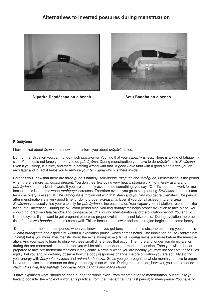#### **Alternatives to inverted postures during menstruation**



**Viparīta Dandāsana on a bench Setu Bandha** on a bench



#### **Prānāyāma**

I have talked about *āsana*-s, so now let me inform you about *prānāyāma* too.

During menstruation you can not do much *prānāyāma*. You find that your capacity is less. There is a kind of fatigue inside. You should not force your body to do *prānāyāma*. During menstruation you have to do *prānāyāma* in *Śavāsana*. Even if you sleep, it is nice, and there is nothing wrong with that. A good *Śavāsana* with a good sleep gives you energy later and in fact it helps you to remove your *tam<sup>o</sup>guna* which is there inside.

Perhaps you know that there are three *guna*-s namely, *sattvaguna*, *rajoguna* and *tamoguna*. Menstruation is the period when there is more *tamoguna* present. You don't feel like doing very heavy, strong work, not merely āsana and prānāyāma, but any kind of work. If you are suddenly asked to do something, you say, "Oh, it's too much work for me" because this is the time when *tamoguna* increases. Therefore even if you go to sleep during *Śavāsana*, it doesn't matter as recovery is essential. The *tamoguna* is thrown out with that sleep and you find you get rejuvenated. The period after menstruation is a very good time for doing proper *prānāyāma*. Even if you do fall asleep in *prānāyāma* in *Śavāsana* you usually find your capacity for *prānāyāma* is increased later. Your capacity for inhalation, retention, exhalation, etc., increases. During the ovulation period also, you find *prānāyāma* helps proper ovulation to take place. You should not practise *Mūla bandha* and *Uīyāna bandha* during menstruation and the ovulation period. You should limit the cycles if you want to get pregnant otherwise proper ovulation may not take place. During ovulation the practice of these two *bandha*-s doesn't come well. This is because the lower abdominal region begins to become heavy.

During the pre-menstruation period, when you know that you get tension, hardness etc., the best thing you can do is *Viloma prānāyāma* and especially *Viloma II*, exhalation-pause, which comes better. The inhalation-pause (*Ābhyantara Viloma*) helps you more after menstruation; the exhalation-pause (*Bāhya Viloma*) helps you more before the menstruation. And you have to learn to observe these small differences that occur. The more and longer you do exhalation during the pre-menstrual time, the better you will be able to conquer pre-menstrual tension. Then you will be better prepared to face pre-menstrual tensions if they come. Normally when you are healthy you may not observe these rules rigidly, but you should certainly observe how the body responses change. Before ovulation you are actually storing your energy with *ābhyantara viloma* and *antara kumbhaka*. So as you go through the whole month you have to organise your practice in this manner so that your energy is not wasted. During menstruation, however, you should not do *Nauli, Bhastrikā, Kapālabhāti, Uīyāna, Mūla bandha* and *Mahā Mudrā*.

I have explained what should be done during the whole cycle, from menstruation to menstruation, but actually you have to consider the whole of a woman's practice, from the `menarche' (the first period) to menopause. You have to